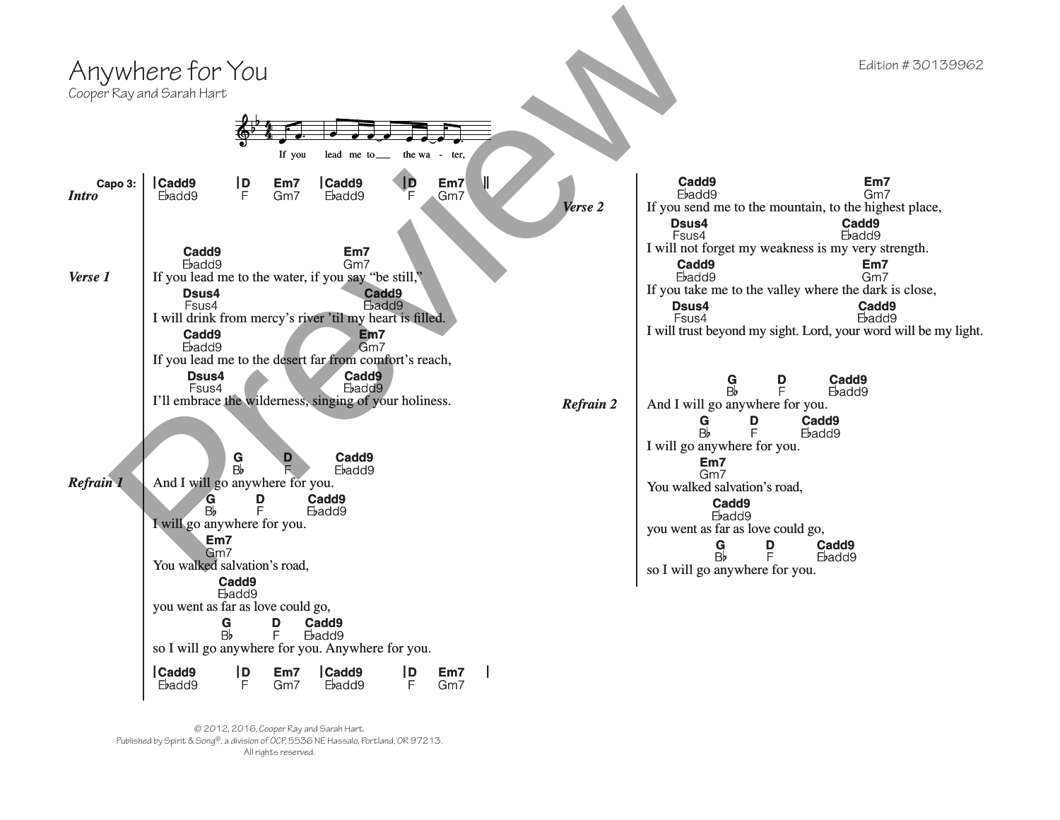

© 2012, 2016, Cooper Ray and Sarah Hart. Published by Spirit & Song®, a division of OCP, 5536 NE Hassalo, Portland, OR 97213. All rights reserved.